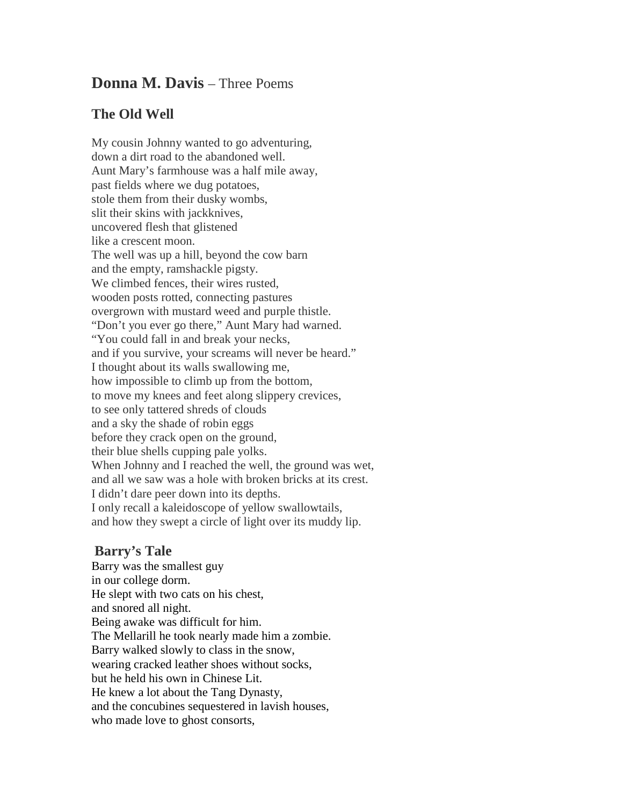## **Donna M. Davis** – Three Poems

## **The Old Well**

My cousin Johnny wanted to go adventuring, down a dirt road to the abandoned well. Aunt Mary's farmhouse was a half mile away, past fields where we dug potatoes, stole them from their dusky wombs, slit their skins with jackknives, uncovered flesh that glistened like a crescent moon. The well was up a hill, beyond the cow barn and the empty, ramshackle pigsty. We climbed fences, their wires rusted, wooden posts rotted, connecting pastures overgrown with mustard weed and purple thistle. "Don't you ever go there," Aunt Mary had warned. "You could fall in and break your necks, and if you survive, your screams will never be heard." I thought about its walls swallowing me, how impossible to climb up from the bottom, to move my knees and feet along slippery crevices, to see only tattered shreds of clouds and a sky the shade of robin eggs before they crack open on the ground, their blue shells cupping pale yolks. When Johnny and I reached the well, the ground was wet, and all we saw was a hole with broken bricks at its crest. I didn't dare peer down into its depths. I only recall a kaleidoscope of yellow swallowtails, and how they swept a circle of light over its muddy lip.

## **Barry's Tale**

Barry was the smallest guy in our college dorm. He slept with two cats on his chest, and snored all night. Being awake was difficult for him. The Mellarill he took nearly made him a zombie. Barry walked slowly to class in the snow, wearing cracked leather shoes without socks, but he held his own in Chinese Lit. He knew a lot about the Tang Dynasty, and the concubines sequestered in lavish houses, who made love to ghost consorts,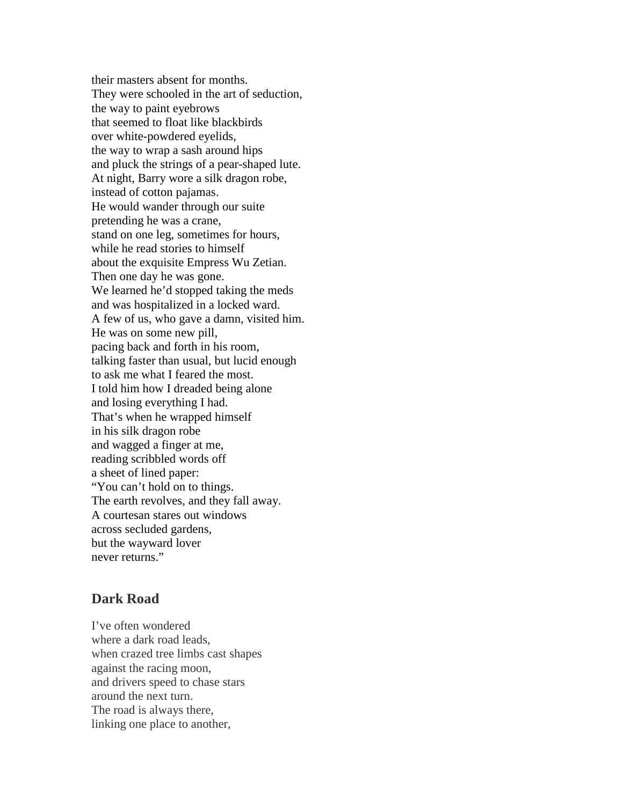their masters absent for months. They were schooled in the art of seduction, the way to paint eyebrows that seemed to float like blackbirds over white-powdered eyelids, the way to wrap a sash around hips and pluck the strings of a pear-shaped lute. At night, Barry wore a silk dragon robe, instead of cotton pajamas. He would wander through our suite pretending he was a crane, stand on one leg, sometimes for hours, while he read stories to himself about the exquisite Empress Wu Zetian. Then one day he was gone. We learned he'd stopped taking the meds and was hospitalized in a locked ward. A few of us, who gave a damn, visited him. He was on some new pill, pacing back and forth in his room, talking faster than usual, but lucid enough to ask me what I feared the most. I told him how I dreaded being alone and losing everything I had. That's when he wrapped himself in his silk dragon robe and wagged a finger at me, reading scribbled words off a sheet of lined paper: "You can't hold on to things. The earth revolves, and they fall away. A courtesan stares out windows across secluded gardens, but the wayward lover never returns."

## **Dark Road**

I've often wondered where a dark road leads, when crazed tree limbs cast shapes against the racing moon, and drivers speed to chase stars around the next turn. The road is always there, linking one place to another,